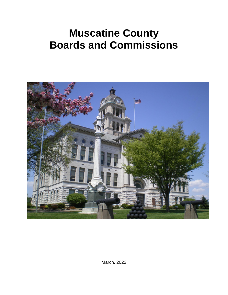# **Muscatine County Boards and Commissions**



March, 2022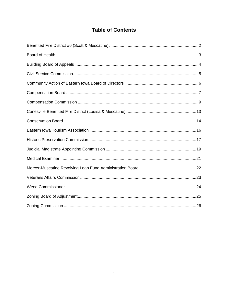# **Table of Contents**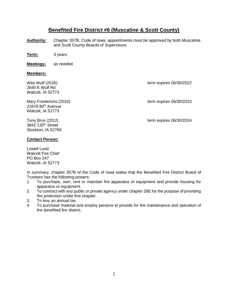## **Benefited Fire District #6 (Muscatine & Scott County)**

- **Authority:** Chapter 357B, Code of Iowa; appointments must be approved by both Muscatine and Scott County Boards of Supervisors
- **Term:** 3 years
- **Meetings:** as needed

#### **Members:**

2640 E Wulf Rd Walcott, IA 52773

Mary Friederichs (2010) Mary Friederichs (2010) 21676 80<sup>th</sup> Avenue Walcott, IA 52773

Wes Wulf (2016) **term expires 06/30/2022** 

Tony Brus (2012) Tony Brus (2012)

3842 120th Street Stockton, IA 52769

#### **Contact Person:**

Lowell Lund Walcott Fire Chief PO Box 247 Walcott, IA 52773

In summary, chapter 357B of the Code of Iowa states that the Benefited Fire District Board of Trustees has the following powers:

- 1. To purchase, own, rent or maintain fire apparatus or equipment and provide housing for apparatus or equipment.
- 2. To contract with any public or private agency under chapter 28E for the purpose of providing fire protection under this chapter.
- 3. To levy an annual tax.
- 4. To purchase material and employ persons to provide for the maintenance and operation of the benefited fire district.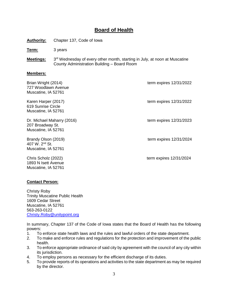# **Board of Health**

**Authority:** Chapter 137, Code of Iowa

**Term:** 3 years

**Meetings:** 3<sup>rd</sup> Wednesday of every other month, starting in July, at noon at Muscatine County Administration Building – Board Room

#### **Members:**

| Brian Wright (2014)<br>727 Woodlawn Avenue<br>Muscatine, IA 52761        | term expires 12/31/2022   |
|--------------------------------------------------------------------------|---------------------------|
| Karen Harper (2017)<br>619 Sunrise Circle<br>Muscatine, IA 52761         | term expires 12/31/2022   |
| Dr. Michael Maharry (2016)<br>207 Broadway St.<br>Muscatine, IA 52761    | term expires $12/31/2023$ |
| Brandy Olson (2019)<br>407 W. 2 <sup>nd</sup> St.<br>Muscatine, IA 52761 | term expires 12/31/2024   |
| Chris Scholz (2022)<br>1893 N Isett Avenue<br>Muscatine, IA 52761        | term expires 12/31/2024   |

#### **Contact Person:**

Christy Roby Trinity Muscatine Public Health 1609 Cedar Street Muscatine, IA 52761 563-263-0122 [Christy.Roby@unitypoint.org](mailto:Christy.Roby@unitypoint.org)

In summary, Chapter 137 of the Code of Iowa states that the Board of Health has the following powers:

- 1. To enforce state health laws and the rules and lawful orders of the state department.
- 2. To make and enforce rules and regulations for the protection and improvement of the public health.
- 3. To enforce appropriate ordinance of said city by agreement with the council of any city within its jurisdiction.
- 4. To employ persons as necessary for the efficient discharge of its duties.
- 5. To provide reports of its operations and activities to the state department as may be required by the director.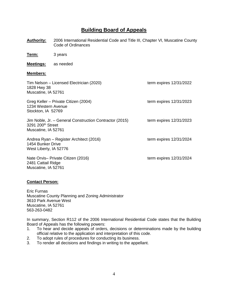# **Building Board of Appeals**

**Authority:** 2006 International Residential Code and Title III, Chapter VI, Muscatine County Code of Ordinances

**Term:** 3 years

**Meetings:** as needed

#### **Members:**

| Tim Nelson - Licensed Electrician (2020)<br>1828 Hwy 38<br>Muscatine, IA 52761                      | term expires 12/31/2022   |
|-----------------------------------------------------------------------------------------------------|---------------------------|
| Greg Keller – Private Citizen (2004)<br>1234 Western Avenue<br>Stockton, IA 52769                   | term expires 12/31/2023   |
| Jim Noble, Jr. - General Construction Contractor (2015)<br>3291 200th Street<br>Muscatine, IA 52761 | term expires 12/31/2023   |
| Andrea Ryan - Register Architect (2016)<br>1454 Bunker Drive<br>West Liberty, IA 52776              | term expires 12/31/2024   |
| Nate Orvis- Private Citizen (2016)<br>2481 Cattail Ridge<br>Muscatine, IA 52761                     | term expires $12/31/2024$ |

#### **Contact Person:**

Eric Furnas Muscatine County Planning and Zoning Administrator 3610 Park Avenue West Muscatine, IA 52761 563-263-0482

In summary, Section R112 of the 2006 International Residential Code states that the Building Board of Appeals has the following powers:

- 1. To hear and decide appeals of orders, decisions or determinations made by the building official relative to the application and interpretation of this code.
- 2. To adopt rules of procedures for conducting its business.
- 3. To render all decisions and findings in writing to the appellant.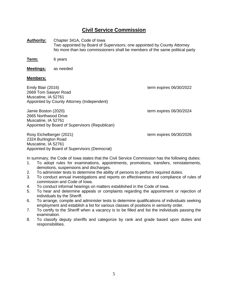# **Civil Service Commission**

**Authority:** Chapter 341A, Code of Iowa Two appointed by Board of Supervisors; one appointed by County Attorney No more than two commissioners shall be members of the same political party

**Term:** 6 years

2665 Northwood Drive

**Meetings:** as needed

#### **Members:**

Emily Blair (2016) the state of the state of the state of the state of the state of the state of the state of the state of the state of the state of the state of the state of the state of the state of the state of the stat 2669 Tom Sawyer Road Muscatine, IA 52761 Appointed by County Attorney (Independent)

Jamie Boston (2020) and the state of the state of the state of the state of the state of the state of the state of the state of the state of the state of the state of the state of the state of the state of the state of the

Muscatine, IA 52761 Appointed by Board of Supervisors (Republican)

Rosy Eichelberger (2021) The Contract Eigenberg et al. 2021) term expires 06/30/2026 2324 Burlington Road Muscatine, IA 52761 Appointed by Board of Supervisors (Democrat)

In summary, the Code of Iowa states that the Civil Service Commission has the following duties:

- 1. To adopt rules for examinations, appointments, promotions, transfers, reinstatements, demotions, suspensions and discharges.
- 2. To administer tests to determine the ability of persons to perform required duties.
- 3. To conduct annual investigations and reports on effectiveness and compliance of rules of commission and Code of Iowa.
- 4. To conduct informal hearings on matters established in the Code of Iowa.
- 5. To hear and determine appeals or complaints regarding the appointment or rejection of individuals by the Sheriff.
- 6. To arrange, compile and administer tests to determine qualifications of individuals seeking employment and establish a list for various classes of positions in seniority order.
- 7. To certify to the Sheriff when a vacancy is to be filled and list the individuals passing the examination.
- 8. To classify deputy sheriffs and categorize by rank and grade based upon duties and responsibilities.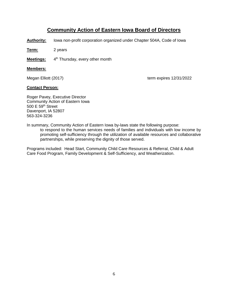# **Community Action of Eastern Iowa Board of Directors**

**Authority:** Iowa non-profit corporation organized under Chapter 504A, Code of Iowa

**Term:** 2 years

**Meetings:** 4 4<sup>th</sup> Thursday, every other month

#### **Members:**

Megan Elliott (2017) Megan Elliott (2017)

#### **Contact Person:**

Roger Pavey, Executive Director Community Action of Eastern Iowa 500 E 59th Street Davenport, IA 52807 563-324-3236

In summary, Community Action of Eastern Iowa by-laws state the following purpose:

to respond to the human services needs of families and individuals with low income by promoting self-sufficiency through the utilization of available resources and collaborative partnerships, while preserving the dignity of those served.

Programs included: Head Start, Community Child Care Resources & Referral, Child & Adult Care Food Program, Family Development & Self-Sufficiency, and Weatherization.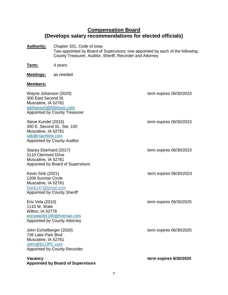# **Compensation Board (Develops salary recommendations for elected officials)**

**Authority:** Chapter 331, Code of Iowa Two appointed by Board of Supervisors; one appointed by each of the following: County Treasurer, Auditor, Sheriff, Recorder and Attorney

**Term:** 4 years

**Meetings:** as needed

#### **Members:**

| Wayne Johanson (2020)<br>300 East Second St.<br>Muscatine, IA 52761<br>wjohanson@fnbmusc.com<br><b>Appointed by County Treasurer</b> | term expires 06/30/2023 |
|--------------------------------------------------------------------------------------------------------------------------------------|-------------------------|
| Steve Kundel (2015)<br>300 E. Second St., Ste. 100<br>Muscatine, IA 52761<br>sdk@machlink.com<br><b>Appointed by County Auditor</b>  | term expires 06/30/2023 |
| Stacey Eberhard (2017)<br>3110 Clermont Drive<br>Muscatine, IA 52761<br>Appointed by Board of Supervisors                            | term expires 06/30/2023 |
| Kevin Sink (2021)<br>1206 Sunrise Circle<br>Muscatine, IA 52761<br>ksink147@gmail.com<br><b>Appointed by County Sheriff</b>          | term expires 06/30/2023 |
| Eric Vela (2010)<br>1110 W. Wate<br>Wilton, IA 52778<br>ericvela081180@hotmail.com<br><b>Appointed by County Attorney</b>            | term expires 06/30/2025 |
| John Eichelberger (2020)<br>736 Lake Park Blvd<br>Muscatine, IA 52761<br>John@ELOPC.com<br><b>Appointed by County Recorder</b>       | term expires 06/30/2025 |
| <b>Vacancy</b><br><b>Appointed by Board of Supervisors</b>                                                                           | term expires 6/30/2025  |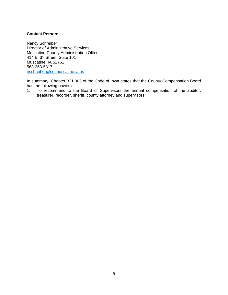#### **Contact Person:**

Nancy Schreiber Director of Administrative Services Muscatine County Administration Office 414 E. 3rd Street, Suite 101 Muscatine, IA 52761 563-263-5317 [nschreiber@co.muscatine.ia.us](mailto:nschreiber@co.muscatine.ia.us)

In summary, Chapter 331.905 of the Code of Iowa states that the County Compensation Board has the following powers:

1. To recommend to the Board of Supervisors the annual compensation of the auditor, treasurer, recorder, sheriff, county attorney and supervisors.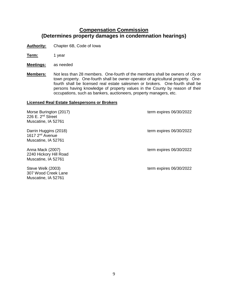# **Compensation Commission (Determines property damages in condemnation hearings)**

**Authority:** Chapter 6B, Code of Iowa

**Term:** 1 year

**Meetings:** as needed

**Members:** Not less than 28 members. One-fourth of the members shall be owners of city or town property. One-fourth shall be owner-operator of agricultural property. Onefourth shall be licensed real estate salesmen or brokers. One-fourth shall be persons having knowledge of property values in the County by reason of their occupations, such as bankers, auctioneers, property managers, etc.

#### **Licensed Real Estate Salespersons or Brokers**

Morse Burington (2017) The Contract of the Contract of the Contract of term expires 06/30/2022 226 E. 2nd Street Muscatine, IA 52761 Darrin Huggins (2018) **Darrin Huggins** (2018) 1617 2nd Avenue Muscatine, IA 52761 Anna Mack (2007) The Contract of the Contract of the Contract of term expires 06/30/2022 2240 Hickory Hill Road Muscatine, IA 52761 Steve Welk (2003) term expires 06/30/2022 307 Wood Creek Lane

Muscatine, IA 52761

9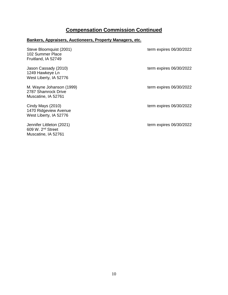# **Compensation Commission Continued**

# **Bankers, Appraisers, Auctioneers, Property Managers, etc.**

| Steve Bloomquist (2001)<br>102 Summer Place<br>Fruitland, IA 52749        | term expires 06/30/2022 |
|---------------------------------------------------------------------------|-------------------------|
| Jason Cassady (2010)<br>1249 Hawkeye Ln<br>West Liberty, IA 52776         | term expires 06/30/2022 |
| M. Wayne Johanson (1999)<br>2787 Shamrock Drive<br>Muscatine, IA 52761    | term expires 06/30/2022 |
| Cindy Mays (2010)<br>1470 Ridgeview Avenue<br>West Liberty, IA 52776      | term expires 06/30/2022 |
| Jennifer Littleton (2021)<br>$609$ W. $2nd$ Street<br>Muscatine, IA 52761 | term expires 06/30/2022 |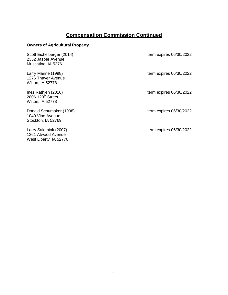# **Compensation Commission Continued**

### **Owners of Agricultural Property**

| Scott Eichelberger (2014)<br>2352 Jasper Avenue<br>Muscatine, IA 52761   | term expires 06/30/2022 |
|--------------------------------------------------------------------------|-------------------------|
| Larry Marine (1998)<br>1276 Thayer Avenue<br>Wilton, IA 52778            | term expires 06/30/2022 |
| Inez Rathjen (2010)<br>2806 120 <sup>th</sup> Street<br>Wilton, IA 52778 | term expires 06/30/2022 |
| Donald Schumaker (1998)<br>1049 Vine Avenue<br>Stockton, IA 52769        | term expires 06/30/2022 |
| Larry Salemink (2007)<br>1261 Atwood Avenue<br>West Liberty, IA 52776    | term expires 06/30/2022 |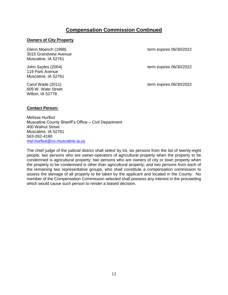## **Compensation Commission Continued**

#### **Owners of City Property**

Glenn Moench (1998) **term expires 06/30/2022** 3015 Grandview Avenue Muscatine, IA 52761

119 Park Avenue Muscatine, IA 52761

609 W. Wate Street Wilton, IA 52778

John Sayles (2004) **term expires 06/30/2022** 

Carol Wade (2011) **Carol Wade (2011)** term expires 06/30/2022

#### **Contact Person:**

Melissa Hurlbut Muscatine County Sheriff's Office – Civil Department 400 Walnut Street Muscatine, IA 52761 563-262-4190 [mel.hurlbut@co.muscatine.ia.us](mailto:mel.hurlbut@co.muscatine.ia.us)

The chief judge of the judicial district shall select by lot, six persons from the list of twenty-eight people, two persons who are owner-operators of agricultural property when the property to be condemned is agricultural property; two persons who are owners of city or town property when the property to be condemned is other than agricultural property; and two persons from each of the remaining two representative groups, who shall constitute a compensation commission to assess the damage of all property to be taken by the applicant and located in the County. No member of the Compensation Commission selected shall possess any interest in the proceeding which would cause such person to render a biased decision.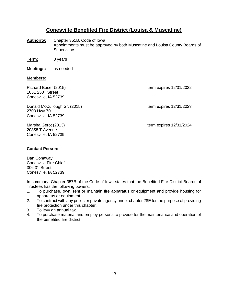### **Conesville Benefited Fire District (Louisa & Muscatine)**

- **Authority:** Chapter 351B, Code of Iowa Appointments must be approved by both Muscatine and Louisa County Boards of **Supervisors**
- **Term:** 3 years

**Meetings:** as needed

#### **Members:**

1051 250th Street Conesville, IA 52739

Donald McCullough Sr. (2015) Conald McCullough Sr. (2015) 2703 Hwy 70 Conesville, IA 52739

20858 T Avenue Conesville, IA 52739

Richard Buser (2015) The Contract of the Contract of the Contract of the Contract of the Contract of the Contract of the Contract of the Contract of the Contract of the Contract of the Contract of the Contract of the Contr

Marsha Gerot (2013) term expires 12/31/2024

#### **Contact Person:**

Dan Conaway Conesville Fire Chief 306 3rd Street Conesville, IA 52739

In summary, Chapter 357B of the Code of Iowa states that the Benefited Fire District Boards of Trustees has the following powers:

- 1. To purchase, own, rent or maintain fire apparatus or equipment and provide housing for apparatus or equipment.
- 2. To contract with any public or private agency under chapter 28E for the purpose of providing fire protection under this chapter.
- 3. To levy an annual tax.
- 4. To purchase material and employ persons to provide for the maintenance and operation of the benefited fire district.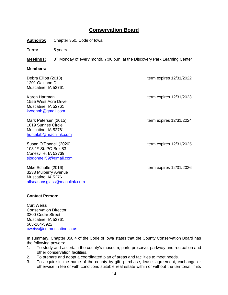# **Conservation Board**

**Authority:** Chapter 350, Code of Iowa

**Term:** 5 years

**Meetings:** 3<sup>rd</sup> Monday of every month, 7:00 p.m. at the Discovery Park Learning Center

#### **Members:**

| Debra Elliott (2013)<br>1201 Oakland Dr.<br>Muscatine, IA 52761                                        | term expires $12/31/2022$ |
|--------------------------------------------------------------------------------------------------------|---------------------------|
| Karen Hartman<br>1555 West Acre Drive<br>Muscatine, IA 52761<br>kwrennh@gmail.com                      | term expires $12/31/2023$ |
| Mark Petersen (2015)<br>1019 Sunrise Circle<br>Muscatine, IA 52761<br>huntalab@machlink.com            | term expires $12/31/2024$ |
| Susan O'Donnell (2020)<br>103 $1^{st}$ St. PO Box 83<br>Conesville, IA 52739<br>sjodonnell59@gmail.com | term expires $12/31/2025$ |
| Mike Schulte (2016)<br>3233 Mulberry Avenue<br>Muscatine, IA 52761<br>allseasonsglass@machlink.com     | term expires $12/31/2026$ |

#### **Contact Person:**

Curt Weiss Conservation Director 3300 Cedar Street Muscatine, IA 52761 563-264-5922 [cweiss@co.muscatine.ia.us](mailto:cweiss@co.muscatine.ia.us)

In summary, Chapter 350.4 of the Code of Iowa states that the County Conservation Board has the following powers:

- 1. To study and ascertain the county's museum, park, preserve, parkway and recreation and other conservation facilities.
- 2. To prepare and adopt a coordinated plan of areas and facilities to meet needs.
- 3. To acquire in the name of the county by gift, purchase, lease, agreement, exchange or otherwise in fee or with conditions suitable real estate within or without the territorial limits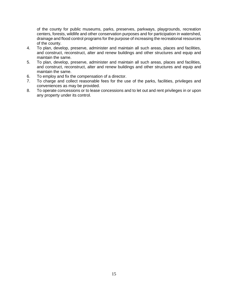of the county for public museums, parks, preserves, parkways, playgrounds, recreation centers, forests, wildlife and other conservation purposes and for participation in watershed, drainage and flood control programs for the purpose of increasing the recreational resources of the county.

- 4. To plan, develop, preserve, administer and maintain all such areas, places and facilities, and construct, reconstruct, alter and renew buildings and other structures and equip and maintain the same.
- 5. To plan, develop, preserve, administer and maintain all such areas, places and facilities, and construct, reconstruct, alter and renew buildings and other structures and equip and maintain the same.
- 6. To employ and fix the compensation of a director.
- 7. To charge and collect reasonable fees for the use of the parks, facilities, privileges and conveniences as may be provided.
- 8. To operate concessions or to lease concessions and to let out and rent privileges in or upon any property under its control.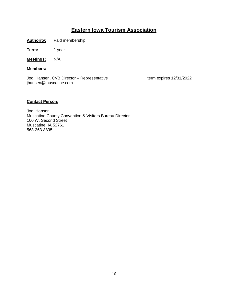# **Eastern Iowa Tourism Association**

**Authority:** Paid membership

**Term:** 1 year

**Meetings:** N/A

**Members:**

Jodi Hansen, CVB Director – Representative term expires 12/31/2022 jhansen@muscatine.com

#### **Contact Person:**

Jodi Hansen Muscatine County Convention & Visitors Bureau Director 100 W. Second Street Muscatine, IA 52761 563-263-8895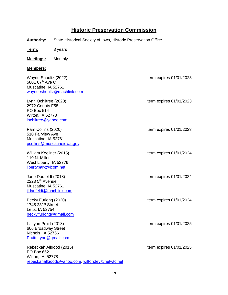# **Historic Preservation Commission**

**Authority:** State Historical Society of Iowa, Historic Preservation Office

**Term:** 3 years

**Meetings:** Monthly

#### **Members:**

| Wayne Shoultz (2022)<br>5801 67th Ave Q<br>Muscatine, IA 52761<br>wayneeshoultz@machlink.com              | term expires 01/01/2023 |
|-----------------------------------------------------------------------------------------------------------|-------------------------|
| Lynn Ochiltree (2020)<br>2972 County F58<br><b>PO Box 514</b><br>Wilton, IA 52778<br>lochiltree@yahoo.com | term expires 01/01/2023 |
| Pam Collins (2020)<br>510 Fairview Ave<br>Muscatine, IA 52761<br>pcollins@muscatineiowa.gov               | term expires 01/01/2023 |
| William Koellner (2015)<br>110 N. Miller<br>West Liberty, IA 52776<br>libertypark@lcom.net                | term expires 01/01/2024 |
| Jane Daufeldt (2018)<br>2223 5 <sup>th</sup> Avenue<br>Muscatine, IA 52761<br>jldaufeldt@machlink.com     | term expires 01/01/2024 |
| Becky Furlong (2020)<br>1745 231 <sup>st</sup> Street<br>Letts, IA 52754<br>beckylfurlong@gmail.com       | term expires 01/01/2024 |
| L. Lynn Pruitt (2013)<br>606 Broadway Street<br>Nichols, IA 52766<br>Pruitt.Lynn@gmail.com                | term expires 01/01/2025 |
| Rebeckah Allgood (2015)<br>PO Box 652<br>Wilton, IA 52778                                                 | term expires 01/01/2025 |

[rebeckahallgood@yahoo.com,](mailto:rebeckahallgood@yahoo.com) [wiltondev@netwtc.net](mailto:wiltondev@netwtc.net)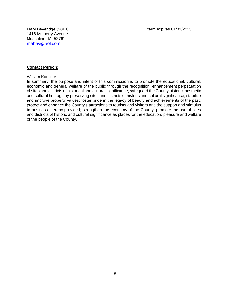1416 Mulberry Avenue Muscatine, IA 52761 [mabev@aol.com](mailto:mabev@aol.com)

#### **Contact Person:**

#### William Koellner

In summary, the purpose and intent of this commission is to promote the educational, cultural, economic and general welfare of the public through the recognition, enhancement perpetuation of sites and districts of historical and cultural significance; safeguard the County historic, aesthetic and cultural heritage by preserving sites and districts of historic and cultural significance; stabilize and improve property values; foster pride in the legacy of beauty and achievements of the past; protect and enhance the County's attractions to tourists and visitors and the support and stimulus to business thereby provided; strengthen the economy of the County; promote the use of sites and districts of historic and cultural significance as places for the education, pleasure and welfare of the people of the County.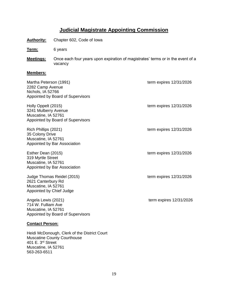# **Judicial Magistrate Appointing Commission**

**Authority:** Chapter 602, Code of Iowa

**Term:** 6 years

Muscatine, IA 52761 563-263-6511

**Meetings:** Once each four years upon expiration of magistrates' terms or in the event of a vacancy

#### **Members:**

| Martha Peterson (1991)<br>2282 Camp Avenue<br>Nichols, IA 52766<br>Appointed by Board of Supervisors                | term expires 12/31/2026   |
|---------------------------------------------------------------------------------------------------------------------|---------------------------|
| Holly Oppelt (2015)<br>3241 Mulberry Avenue<br>Muscatine, IA 52761<br>Appointed by Board of Supervisors             | term expires 12/31/2026   |
| Rich Phillips (2021)<br>35 Colony Drive<br>Muscatine, IA 52761<br>Appointed by Bar Association                      | term expires $12/31/2026$ |
| Esther Dean (2015)<br>319 Myrtle Street<br>Muscatine, IA 52761<br>Appointed by Bar Association                      | term expires 12/31/2026   |
| Judge Thomas Reidel (2015)<br>2621 Canterbury Rd<br>Muscatine, IA 52761<br>Appointed by Chief Judge                 | term expires $12/31/2026$ |
| Angela Lewis (2021)<br>714 W. Fulliam Ave<br>Muscatine, IA 52761<br>Appointed by Board of Supervisors               | term expires 12/31/2026   |
| <b>Contact Person:</b>                                                                                              |                           |
| Heidi McDonough, Clerk of the District Court<br><b>Muscatine County Courthouse</b><br>401 E. 3 <sup>rd</sup> Street |                           |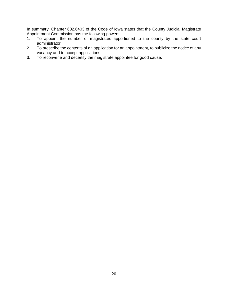In summary, Chapter 602.6403 of the Code of Iowa states that the County Judicial Magistrate Appointment Commission has the following powers:

- 1. To appoint the number of magistrates apportioned to the county by the state court administrator.
- 2. To prescribe the contents of an application for an appointment, to publicize the notice of any vacancy and to accept applications.
- 3. To reconvene and decertify the magistrate appointee for good cause.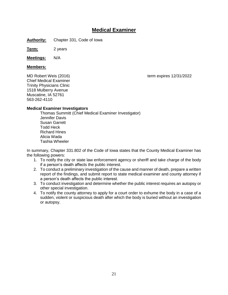# **Medical Examiner**

**Authority:** Chapter 331, Code of Iowa

**Term:** 2 years

**Meetings:** N/A

#### **Members:**

Chief Medical Examiner Trinity Physicians Clinic 1518 Mulberry Avenue Muscatine, IA 52761 563-262-4110

#### **Medical Examiner Investigators**

Thomas Summitt (Chief Medical Examiner Investigator) Jennifer Davis Susan Garrett Todd Heck Richard Hines Alicia Wada Tashia Wheeler

In summary, Chapter 331.802 of the Code of Iowa states that the County Medical Examiner has the following powers:

- 1. To notify the city or state law enforcement agency or sheriff and take charge of the body if a person's death affects the public interest.
- 2. To conduct a preliminary investigation of the cause and manner of death, prepare a written report of the findings, and submit report to state medical examiner and county attorney if a person's death affects the public interest.
- 3. To conduct investigation and determine whether the public interest requires an autopsy or other special investigation.
- 4. To notify the county attorney to apply for a court order to exhume the body in a case of a sudden, violent or suspicious death after which the body is buried without an investigation or autopsy.

MD Robert Weis (2016) The Contract of the Contract of the Contract of the Contract of the MD Robert Weise (2016)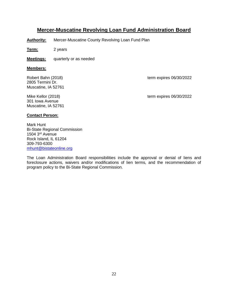### **Mercer-Muscatine Revolving Loan Fund Administration Board**

**Authority:** Mercer-Muscatine County Revolving Loan Fund Plan

**Term:** 2 years

**Meetings:** quarterly or as needed

#### **Members:**

2805 Termini Dr. Muscatine, IA 52761

301 Iowa Avenue Muscatine, IA 52761

Robert Bahn (2018) The Contract of the Contract of the Contract of term expires 06/30/2022

Mike Kellor (2018) Mike Kellor (2018)

#### **Contact Person:**

Mark Hunt Bi-State Regional Commission 1504 3rd Avenue Rock Island, IL 61204 309-793-6300 [mhunt@bistateonline.org](mailto:mhunt@bistateonline.org)

The Loan Administration Board responsibilities include the approval or denial of liens and foreclosure actions, waivers and/or modifications of lien terms, and the recommendation of program policy to the Bi-State Regional Commission.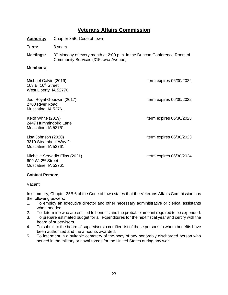# **Veterans Affairs Commission**

**Authority:** Chapter 35B, Code of Iowa

**Term:** 3 years

**Meetings:** 3<sup>rd</sup> Monday of every month at 2:00 p.m. in the Duncan Conference Room of Community Services (315 Iowa Avenue)

#### **Members:**

| Michael Calvin (2019)<br>103 E. $16th$ Street<br>West Liberty, IA 52776 | term expires 06/30/2022 |
|-------------------------------------------------------------------------|-------------------------|
| Jodi Royal-Goodwin (2017)<br>2700 River Road<br>Muscatine, IA 52761     | term expires 06/30/2022 |
| Keith White (2019)<br>2447 Hummingbird Lane<br>Muscatine, IA 52761      | term expires 06/30/2023 |
| Lisa Johnson (2020)<br>3310 Steamboat Way 2<br>Muscatine, IA 52761      | term expires 06/30/2023 |
| Michelle Servadio Elias (2021)<br>609 W. 2 <sup>nd</sup> Street         | term expires 06/30/2024 |

#### **Contact Person:**

Muscatine, IA 52761

Vacant

In summary, Chapter 35B.6 of the Code of Iowa states that the Veterans Affairs Commission has the following powers:

- 1. To employ an executive director and other necessary administrative or clerical assistants when needed.
- 2. To determine who are entitled to benefits and the probable amount required to be expended.
- 3. To prepare estimated budget for all expenditures for the next fiscal year and certify with the board of supervisors.
- 4. To submit to the board of supervisors a certified list of those persons to whom benefits have been authorized and the amounts awarded.
- 5. To interment in a suitable cemetery of the body of any honorably discharged person who served in the military or naval forces for the United States during any war.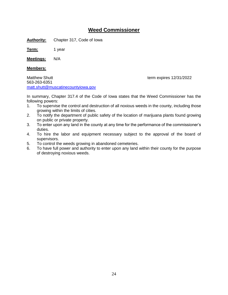### **Weed Commissioner**

**Authority:** Chapter 317, Code of Iowa

**Term:** 1 year

**Meetings:** N/A

#### **Members:**

Matthew Shutt **thew Shutt** term expires 12/31/2022 563-263-6351 [matt.shutt@muscatinecountyiowa.gov](mailto:matt.shutt@muscatinecountyiowa.gov)

In summary, Chapter 317.4 of the Code of Iowa states that the Weed Commissioner has the following powers:

- 1. To supervise the control and destruction of all noxious weeds in the county, including those growing within the limits of cities.
- 2. To notify the department of public safety of the location of marijuana plants found growing on public or private property.
- 3. To enter upon any land in the county at any time for the performance of the commissioner's duties.
- 4. To hire the labor and equipment necessary subject to the approval of the board of supervisors.
- 5. To control the weeds growing in abandoned cemeteries.
- 6. To have full power and authority to enter upon any land within their county for the purpose of destroying noxious weeds.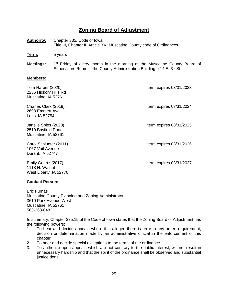# **Zoning Board of Adjustment**

**Authority:** Chapter 335, Code of Iowa Title III, Chapter II, Article XV, Muscatine County code of Ordinances

**Term:** 5 years

**Meetings:**  $1<sup>st</sup>$  Friday of every month in the morning at the Muscatine County Board of Supervisors Room in the County Administration Building, 414 E. 3<sup>rd</sup> St.

#### **Members:**

| Tom Harper (2020)<br>2236 Hickory Hills Rd<br>Muscatine, IA 52761 | term expires 03/31/2023   |
|-------------------------------------------------------------------|---------------------------|
| Charles Clark (2019)<br>2698 Emmert Ave<br>Letts, IA 52754        | term expires 03/31/2024   |
| Janelle Spies (2020)<br>2519 Bayfield Road<br>Muscatine, IA 52761 | term expires 03/31/2025   |
| Carol Schlueter (2011)<br>1067 Vail Avenue<br>Durant, IA 52747    | term expires 03/31/2026   |
| Emily Geertz (2017)<br>1118 N. Walnut                             | term expires $03/31/2027$ |

#### **Contact Person:**

West Liberty, IA 52776

Eric Furnas Muscatine County Planning and Zoning Administrator 3610 Park Avenue West Muscatine, IA 52761 563-263-0482

In summary, Chapter 335.15 of the Code of Iowa states that the Zoning Board of Adjustment has the following powers:

- 1. To hear and decide appeals where it is alleged there is error in any order, requirement, decision or determination made by an administrative official in the enforcement of this chapter.
- 2. To hear and decide special exceptions to the terms of the ordinance.
- 3. To authorize upon appeals which are not contrary to the public interest, will not result in unnecessary hardship and that the spirit of the ordinance shall be observed and substantial justice done.